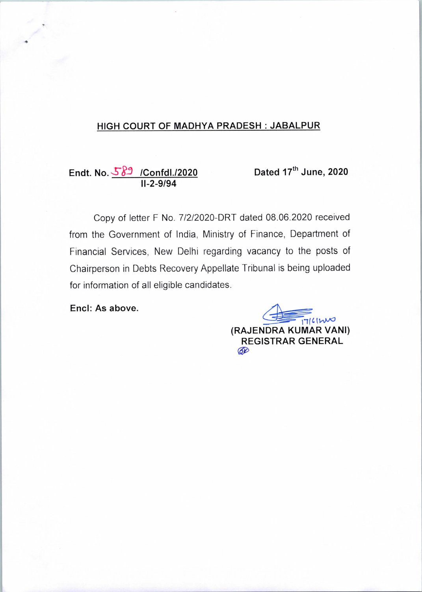## HIGH COURT OF MADHYA PRADESH : JABALPUR

<u>Endt. No. 389 /Confdl./2020</u> 11-2-9/94

Dated  $17^{\text{th}}$  June, 2020

Copy of letter F No. 7/2/2020-DRT dated 08.06.2020 received from the Government of India, Ministry of Finance, Department of Financial Services, New Delhi regarding vacancy to the posts of Chairperson in Debts Recovery Appellate Tribunal is being uploaded for information of all eligible candidates.

Encl: As above.

 $71611100$ (RAJENDRA KUMAR VANl) REGISTRAR GENERAL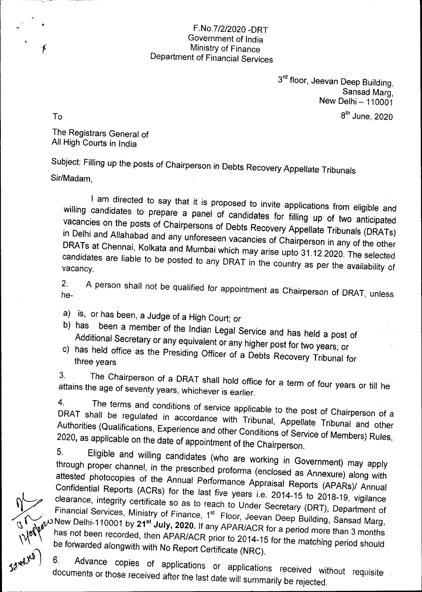## F.No.7/2/2020 -DRT Government of India Ministry of Finance Department of Financial Services

3rd floor, Jeevan Deep Building, Sansad Marg, New Delhi - 110001  $8<sup>th</sup>$  June, 2020

To

 $\angle r$ 

The Registrars General of All High Courts in India

Subject: Filling up the posts of Chairperson in Debts Recovery Appellate Tribunals

Sir/Madam,

I am directed to say that it is proposed to invite applications from eligible and willing candidates to prepare a panel of candidates for filling up of two anticipated vacancies on the posts of Chairpersons of Debts Recovery Illing up of two anticipated in Delhi and Allahabad and any unforeseen vacancies of  $\epsilon$ Chairpellate Tribunals (DRATs) DRATs at Chennai, Kolkata and Mumbai which may are Chairperson in any of the other candidates are liable to be posted to any DRAT in the country as perfected candidates are liable to be posted to any DRAT in the country as per the availability of vacancy.

 $2<sub>1</sub>$ A person shall not be qualified for appointment as Chairperson of DRAT, unless he-

- a) is, or has been, a Judge of a High Court; or
- b) has been a member of the Indian Legal Service and has held a post of Additional Secretary or any equivalent or any higher post for two years; or
- c) has held office as the Presiding Officer of a Debts Recovery Tribunal for three years.

3. The Chairperson of a DRAT shall hold office for a term of four years or till he attains the age of seventy years, whichever is earlier.

4. The terms and conditions of service applicable to the post of Chairperson of a DRAT shall be requisited in accordance with Tribunal and other post of Chairperson of a Authorities (Qualifications, Experience and other Conditions, Appellate Tribunal and other Authorities (Qualifications, Experience and other Conditions of Service of Members) Rules,<br>2020, as applicable on the date of appointment of the Chairperson.

5. Eligible and willing candidates (who are working in Government) may apply through proper channel, in the prescribed proformation (enclosed and working in Government) may apply attested photocopies of the Annual Performance Approximated as Annexure) along with attested photocopies of the Annual Performance Appraisal Reports (APARs)/ Annual Confidential Reports (ACRs) for the last five years i.e. 2014-15 to 2018-19, vigilance clearance, integrity certificate so as to reach to Under Secretary (DRT), Department of Financial Services, Ministry of Finance, 1<sup>st</sup> Floor, Jeevan Deep Building, Sansad Marg, has not been recorded, then APAR/ACR prior to 2014  $\mu$  as not been a months has not been recorded, then APAR/ACR prior to 2014-15 for the matching period should<br>be forwarded alongwith with No Report Certificate (NRC).

6. Advance copies of applications or applications received without requisite documents or those received after the last date will summarily be rejected. 6.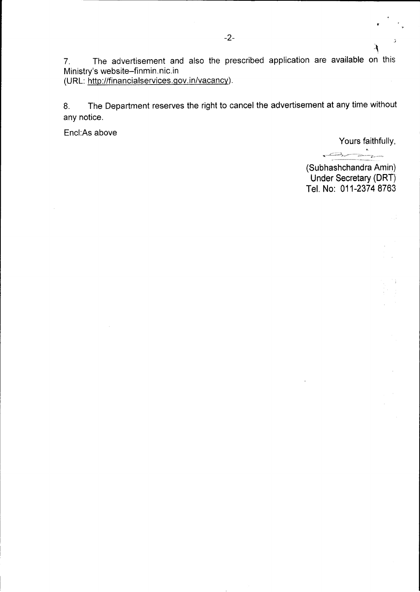7. The advertisement and also the prescribed application are available on this Ministry's website-finmin,nic.in (URL: http://financialservices.gov.in/vacancy).

8. The Department reserves the right to cancel the advertisement at any time without any notice.

Encl:As above

Yours faithfully,

 $\mathcal{F}$ 

. ey,,,,£|~},rfi,,,--;,~v^..`--£",~-,~,

(Subhashchandra Amin) Under Secretary (DRT) Tel. No: 011-2374 8763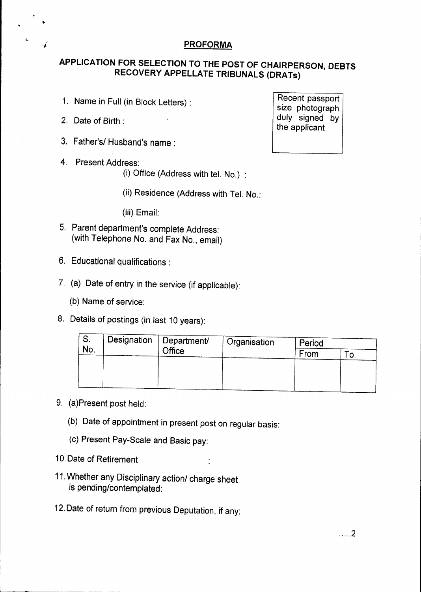## **PROFORMA**

## APPLICATION FOR SELECTION TO THE POST OF CHAIRPERSON, DEBTS RECOVERY APPELLATE TRIBUNALS (DRATs)

- 1. Name in Full (in Block Letters) :
- 2. Date of Birth :

/

- 3. Father's/ Husband's name :
- 4. Present Address:
	- (i) Office (Address with tel. No.) :

(ii) Residence (Address with Tel. No.:

(iii) Email:

- 5. Parent department's complete Address: (with Telephone No. and Fax No., email)
- 6. Educational qualifications :
- 7. (a) Date of entry in the service (if applicable):
	- (b) Name of service:
- 8, Details of postings (in last 10 years):

| O.<br>No. | Designation | Department/<br><b>Office</b> | Organisation | Period |  |
|-----------|-------------|------------------------------|--------------|--------|--|
|           |             |                              |              | From   |  |
|           |             |                              |              |        |  |
|           |             |                              |              |        |  |
|           |             |                              |              |        |  |

- 9. (a)Present post held:
	- (b) Date of appointment in present post on regular basis:
	- (c) Present Pay-Scale and Basic pay:
- 10. Date of Retirement
- 11. Whether any Disciplinary action/ charge sheet is pending/contemplated:
- 12. Date of return from previous Deputation, if any:

Recent passport size photograph duly signed by the applicant

..... 2